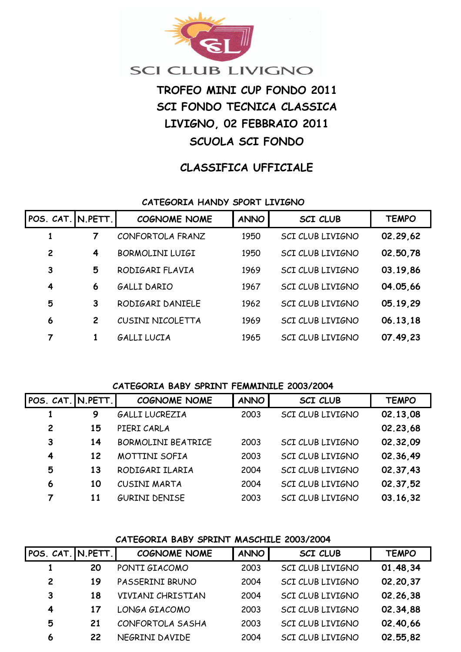

# **SCI CLUB LIVIGNO**

# **TROFEO MINI CUP FONDO 2011 SCI FONDO TECNICA CLASSICA LIVIGNO, 02 FEBBRAIO 2011 SCUOLA SCI FONDO**

# **CLASSIFICA UFFICIALE**

#### **CATEGORIA HANDY SPORT LIVIGNO**

| POS. CAT. IN. PETT. |                | <b>COGNOME NOME</b>    | <b>ANNO</b> | <b>SCI CLUB</b>         | <b>TEMPO</b> |
|---------------------|----------------|------------------------|-------------|-------------------------|--------------|
| 1                   |                | CONFORTOLA FRANZ       | 1950        | SCI CLUB LIVIGNO        | 02.29,62     |
| $\overline{c}$      | 4              | <b>BORMOLINI LUIGI</b> | 1950        | SCI CLUB LIVIGNO        | 02.50,78     |
| 3                   | 5              | RODIGARI FLAVIA        | 1969        | <b>SCI CLUB LIVIGNO</b> | 03.19,86     |
| 4                   | 6              | GALLI DARIO            | 1967        | SCI CLUB LIVIGNO        | 04.05,66     |
| 5                   | 3              | RODIGARI DANIELE       | 1962        | SCI CLUB LIVIGNO        | 05.19,29     |
| 6                   | $\overline{2}$ | CUSINI NICOLETTA       | 1969        | <b>SCI CLUB LIVIGNO</b> | 06.13,18     |
| 7                   | 1              | GALLI LUCIA            | 1965        | SCI CLUB LIVIGNO        | 07.49,23     |

#### **CATEGORIA BABY SPRINT FEMMINILE 2003/2004**

| POS. CAT. IN.PETT. |    | <b>COGNOME NOME</b>       | <b>ANNO</b> | <b>SCI CLUB</b>  | <b>TEMPO</b> |
|--------------------|----|---------------------------|-------------|------------------|--------------|
|                    | 9  | GALLI LUCREZIA            | 2003        | SCI CLUB LIVIGNO | 02.13,08     |
| $\overline{2}$     | 15 | PIERI CARLA               |             |                  | 02.23,68     |
| 3                  | 14 | <b>BORMOLINI BEATRICE</b> | 2003        | SCI CLUB LIVIGNO | 02.32.09     |
| 4                  | 12 | MOTTINI SOFIA             | 2003        | SCI CLUB LIVIGNO | 02.36,49     |
| 5                  | 13 | RODIGARI ILARIA           | 2004        | SCI CLUB LIVIGNO | 02.37.43     |
| 6                  | 10 | CUSINI MARTA              | 2004        | SCI CLUB LIVIGNO | 02.37,52     |
| 7                  | 11 | <b>GURINI DENISE</b>      | 2003        | SCI CLUB LIVIGNO | 03.16.32     |

#### **CATEGORIA BABY SPRINT MASCHILE 2003/2004**

| POS. CAT. N.PETT.       |    | <b>COGNOME NOME</b> | <b>ANNO</b> | <b>SCI CLUB</b>  | <b>TEMPO</b> |
|-------------------------|----|---------------------|-------------|------------------|--------------|
|                         | 20 | PONTI GIACOMO       | 2003        | SCI CLUB LIVIGNO | 01.48,34     |
| $\overline{2}$          | 19 | PASSERINI BRUNO     | 2004        | SCI CLUB LIVIGNO | 02.20,37     |
| 3                       | 18 | VIVIANI CHRISTIAN   | 2004        | SCI CLUB LIVIGNO | 02.26.38     |
| $\overline{\mathbf{4}}$ | 17 | LONGA GIACOMO       | 2003        | SCI CLUB LIVIGNO | 02.34,88     |
| 5                       | 21 | CONFORTOLA SASHA    | 2003        | SCI CLUB LIVIGNO | 02.40,66     |
| 6                       | 22 | NEGRINI DAVIDE      | 2004        | SCI CLUB LIVIGNO | 02.55,82     |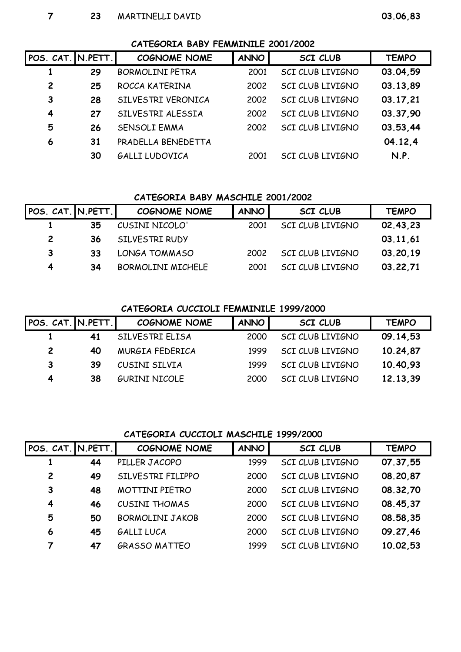| POS. CAT. N.PETT. |    | <b>COGNOME NOME</b>    | <b>ANNO</b> | <b>SCI CLUB</b>         | <b>TEMPO</b> |
|-------------------|----|------------------------|-------------|-------------------------|--------------|
|                   | 29 | <b>BORMOLINI PETRA</b> | 2001        | SCI CLUB LIVIGNO        | 03.04.59     |
| $\overline{c}$    | 25 | ROCCA KATERINA         | 2002        | SCI CLUB LIVIGNO        | 03.13,89     |
| 3                 | 28 | SILVESTRI VERONICA     | 2002        | SCI CLUB LIVIGNO        | 03.17,21     |
| 4                 | 27 | SILVESTRI ALESSIA      | 2002        | <b>SCI CLUB LIVIGNO</b> | 03.37,90     |
| 5                 | 26 | <b>SENSOLI EMMA</b>    | 2002        | SCI CLUB LIVIGNO        | 03.53,44     |
| 6                 | 31 | PRADELLA BENEDETTA     |             |                         | 04.12.4      |
|                   | 30 | GALLI LUDOVICA         | 2001        | <b>SCI CLUB LIVIGNO</b> | N.P.         |

### **CATEGORIA BABY MASCHILE 2001/2002**

| POS. CAT. N.PETT. |    | <b>COGNOME NOME</b>      | <b>ANNO</b> | <b>SCI CLUB</b>  | <b>TEMPO</b> |
|-------------------|----|--------------------------|-------------|------------------|--------------|
|                   | 35 | CUSINI NICOLO'           | 2001        | SCI CLUB LIVIGNO | 02.43,23     |
| $\mathbf{2}$      | 36 | SILVESTRI RUDY           |             |                  | 03.11,61     |
| 3                 | 33 | LONGA TOMMASO            | 2002        | SCI CLUB LIVIGNO | 03.20.19     |
| 4                 | 34 | <b>BORMOLINI MICHELE</b> | 2001        | SCI CLUB LIVIGNO | 03.22,71     |

### **CATEGORIA CUCCIOLI FEMMINILE 1999/2000**

| POS. CAT. N.PETT. |    | <b>COGNOME NOME</b>  | <b>ANNO</b> | <b>SCI CLUB</b>  | <b>TEMPO</b> |
|-------------------|----|----------------------|-------------|------------------|--------------|
|                   | 41 | SILVESTRI ELISA      | 2000        | SCI CLUB LIVIGNO | 09.14,53     |
| $\mathbf{2}$      | 40 | MURGIA FEDERICA      | 1999        | SCI CLUB LIVIGNO | 10.24,87     |
| 3                 | 39 | CUSINI SILVIA        | 1999        | SCI CLUB LIVIGNO | 10.40,93     |
| 4                 | 38 | <b>GURINI NICOLE</b> | 2000        | SCI CLUB LIVIGNO | 12.13.39     |

## **CATEGORIA CUCCIOLI MASCHILE 1999/2000**

| POS. CAT. N.PETT. |    | <b>COGNOME NOME</b>    | <b>ANNO</b> | <b>SCI CLUB</b>  | <b>TEMPO</b> |
|-------------------|----|------------------------|-------------|------------------|--------------|
|                   | 44 | PILLER JACOPO          | 1999        | SCI CLUB LIVIGNO | 07.37,55     |
| $\overline{c}$    | 49 | SILVESTRI FILIPPO      | 2000        | SCI CLUB LIVIGNO | 08.20,87     |
| 3                 | 48 | <b>MOTTINI PIETRO</b>  | 2000        | SCI CLUB LIVIGNO | 08.32,70     |
| 4                 | 46 | <b>CUSINI THOMAS</b>   | 2000        | SCI CLUB LIVIGNO | 08.45,37     |
| 5                 | 50 | <b>BORMOLINI JAKOB</b> | 2000        | SCI CLUB LIVIGNO | 08.58,35     |
| 6                 | 45 | <b>GALLI LUCA</b>      | 2000        | SCI CLUB LIVIGNO | 09.27,46     |
| 7                 | 47 | <b>GRASSO MATTEO</b>   | 1999        | SCI CLUB LIVIGNO | 10.02,53     |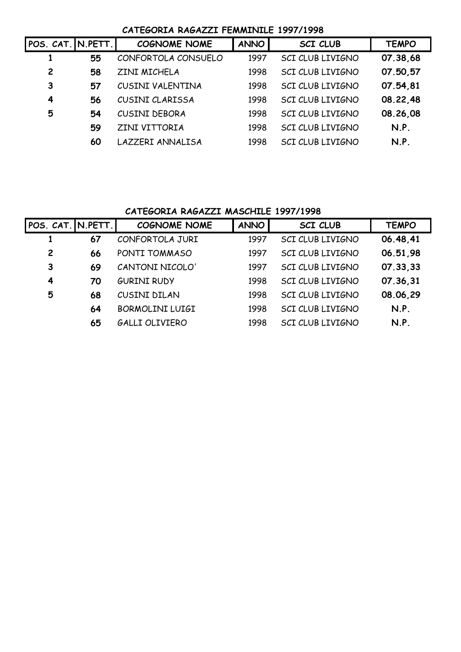## **CATEGORIA RAGAZZI FEMMINILE 1997/1998**

| POS. CAT. N.PETT. |    | <b>COGNOME NOME</b> | <b>ANNO</b> | <b>SCI CLUB</b>         | <b>TEMPO</b> |
|-------------------|----|---------------------|-------------|-------------------------|--------------|
|                   | 55 | CONFORTOLA CONSUELO | 1997        | <b>SCI CLUB LIVIGNO</b> | 07.38,68     |
| $\overline{2}$    | 58 | ZINI MICHELA        | 1998        | <b>SCI CLUB LIVIGNO</b> | 07.50.57     |
| 3                 | 57 | CUSINI VALENTINA    | 1998        | SCI CLUB LIVIGNO        | 07.54,81     |
| 4                 | 56 | CUSINI CLARISSA     | 1998        | SCI CLUB LIVIGNO        | 08.22.48     |
| 5                 | 54 | CUSINI DEBORA       | 1998        | <b>SCI CLUB LIVIGNO</b> | 08.26,08     |
|                   | 59 | ZINI VITTORIA       | 1998        | SCI CLUB LIVIGNO        | N.P.         |
|                   | 60 | LAZZERI ANNALISA    | 1998        | <b>SCI CLUB LIVIGNO</b> | N.P.         |

## **CATEGORIA RAGAZZI MASCHILE 1997/1998**

| POS. CAT. N.PETT. |    | <b>COGNOME NOME</b>    | <b>ANNO</b> | <b>SCI CLUB</b>         | <b>TEMPO</b> |
|-------------------|----|------------------------|-------------|-------------------------|--------------|
|                   | 67 | CONFORTOLA JURI        | 1997        | SCI CLUB LIVIGNO        | 06.48,41     |
| $\overline{c}$    | 66 | PONTI TOMMASO          | 1997        | SCI CLUB LIVIGNO        | 06.51,98     |
| 3                 | 69 | CANTONI NICOLO'        | 1997        | <b>SCI CLUB LIVIGNO</b> | 07.33,33     |
| 4                 | 70 | <b>GURINI RUDY</b>     | 1998        | SCI CLUB LIVIGNO        | 07.36,31     |
| 5                 | 68 | CUSINI DILAN           | 1998        | SCI CLUB LIVIGNO        | 08.06,29     |
|                   | 64 | <b>BORMOLINI LUIGI</b> | 1998        | SCI CLUB LIVIGNO        | N.P.         |
|                   | 65 | <b>GALLI OLIVIERO</b>  | 1998        | SCI CLUB LIVIGNO        | N.P.         |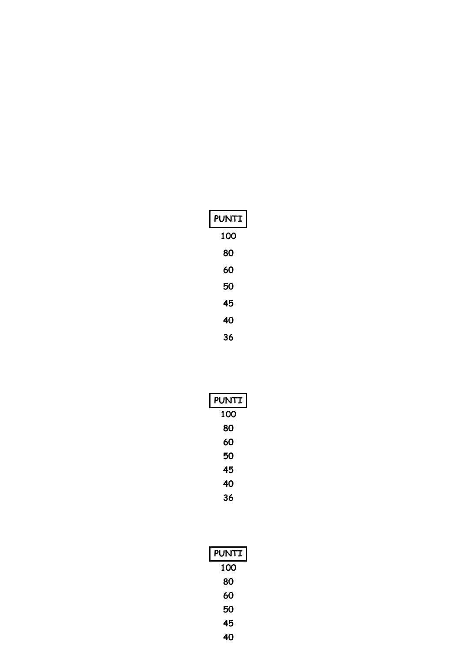| <b>PUNTI</b> |
|--------------|
| 100          |
| 80           |
| 60           |
| 50           |
| 45           |
| 40           |
| 36           |

| <b>PUNTI</b> |
|--------------|
| 100          |
| 80           |
| 60           |
| 50           |
| 45           |
| 40           |
| 36           |

| <b>PUNTI</b> |
|--------------|
| 100          |
| 80           |
| 60           |
| 50           |
| 45           |
| 40           |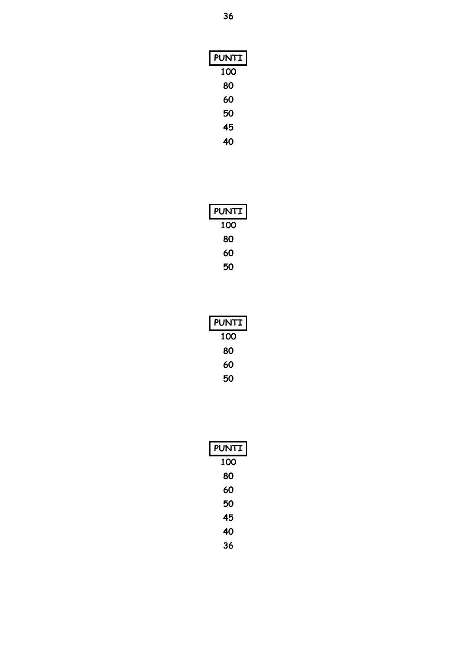| <b>PUNTI</b> |
|--------------|
| 100          |
| 80           |
| 60           |
| 50           |
| 45           |
| 40           |

| <b>PUNTI</b> |
|--------------|
| 100          |
| 80           |
| 60           |
| 50           |

| <b>PUNTI</b> |
|--------------|
| 100          |
| 80           |
| 60           |
| 50           |

| <b>PUNTI</b> |
|--------------|
| 100          |
| 80           |
| 60           |
| 50           |
| 45           |
| 40           |
| 36           |